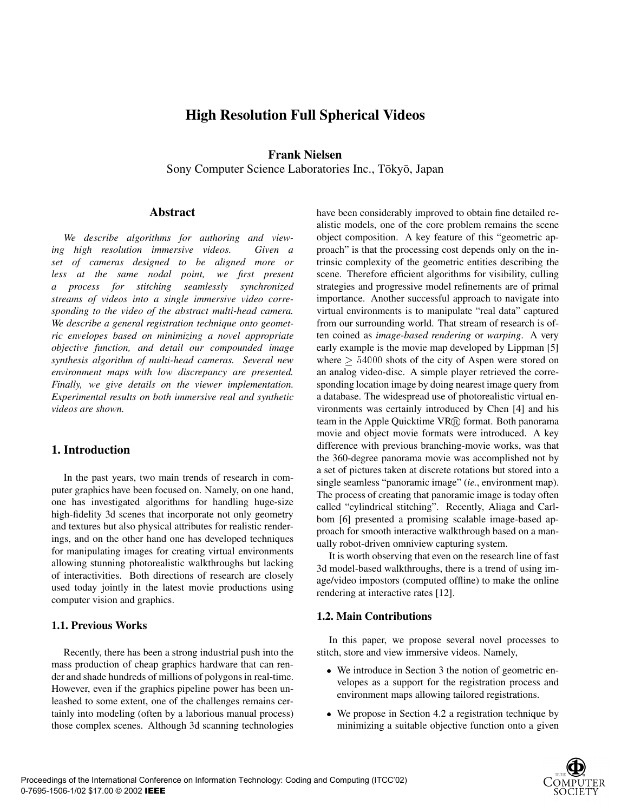# **High Resolution Full Spherical Videos**

**Frank Nielsen**

Sony Computer Science Laboratories Inc., Tōkyō, Japan

### **Abstract**

*We describe algorithms for authoring and viewing high resolution immersive videos. Given a set of cameras designed to be aligned more or less at the same nodal point, we first present a process for stitching seamlessly synchronized streams of videos into a single immersive video corresponding to the video of the abstract multi-head camera. We describe a general registration technique onto geometric envelopes based on minimizing a novel appropriate objective function, and detail our compounded image synthesis algorithm of multi-head cameras. Several new environment maps with low discrepancy are presented. Finally, we give details on the viewer implementation. Experimental results on both immersive real and synthetic videos are shown.*

# **1. Introduction**

In the past years, two main trends of research in computer graphics have been focused on. Namely, on one hand, one has investigated algorithms for handling huge-size high-fidelity 3d scenes that incorporate not only geometry and textures but also physical attributes for realistic renderings, and on the other hand one has developed techniques for manipulating images for creating virtual environments allowing stunning photorealistic walkthroughs but lacking of interactivities. Both directions of research are closely used today jointly in the latest movie productions using computer vision and graphics.

### **1.1. Previous Works**

Recently, there has been a strong industrial push into the mass production of cheap graphics hardware that can render and shade hundreds of millions of polygons in real-time. However, even if the graphics pipeline power has been unleashed to some extent, one of the challenges remains certainly into modeling (often by a laborious manual process) those complex scenes. Although 3d scanning technologies have been considerably improved to obtain fine detailed realistic models, one of the core problem remains the scene object composition. A key feature of this "geometric approach" is that the processing cost depends only on the intrinsic complexity of the geometric entities describing the scene. Therefore efficient algorithms for visibility, culling strategies and progressive model refinements are of primal importance. Another successful approach to navigate into virtual environments is to manipulate "real data" captured from our surrounding world. That stream of research is often coined as *image-based rendering* or *warping*. A very early example is the movie map developed by Lippman [5] where  $> 54000$  shots of the city of Aspen were stored on an analog video-disc. A simple player retrieved the corresponding location image by doing nearest image query from a database. The widespread use of photorealistic virtual environments was certainly introduced by Chen [4] and his team in the Apple Quicktime VR® format. Both panorama movie and object movie formats were introduced. A key difference with previous branching-movie works, was that the 360-degree panorama movie was accomplished not by a set of pictures taken at discrete rotations but stored into a single seamless "panoramic image" (*ie.*, environment map). The process of creating that panoramic image is today often called "cylindrical stitching". Recently, Aliaga and Carlbom [6] presented a promising scalable image-based approach for smooth interactive walkthrough based on a manually robot-driven omniview capturing system.

It is worth observing that even on the research line of fast 3d model-based walkthroughs, there is a trend of using image/video impostors (computed offline) to make the online rendering at interactive rates [12].

#### **1.2. Main Contributions**

In this paper, we propose several novel processes to stitch, store and view immersive videos. Namely,

- We introduce in Section 3 the notion of geometric envelopes as a support for the registration process and environment maps allowing tailored registrations.
- We propose in Section 4.2 a registration technique by minimizing a suitable objective function onto a given

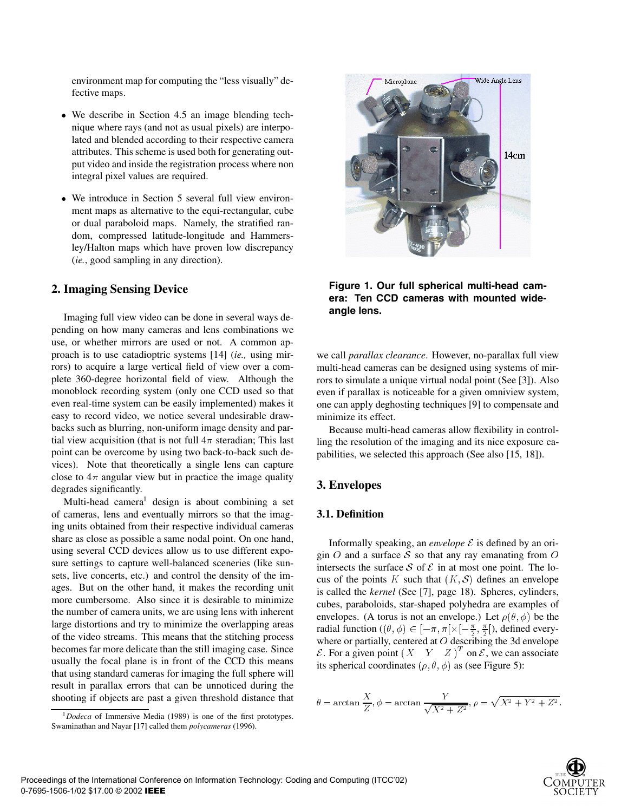environment map for computing the "less visually" defective maps.

- We describe in Section 4.5 an image blending technique where rays (and not as usual pixels) are interpolated and blended according to their respective camera attributes. This scheme is used both for generating output video and inside the registration process where non integral pixel values are required.
- We introduce in Section 5 several full view environment maps as alternative to the equi-rectangular, cube or dual paraboloid maps. Namely, the stratified random, compressed latitude-longitude and Hammersley/Halton maps which have proven low discrepancy (*ie.*, good sampling in any direction).

### **2. Imaging Sensing Device**

Imaging full view video can be done in several ways depending on how many cameras and lens combinations we use, or whether mirrors are used or not. A common approach is to use catadioptric systems [14] (*ie.,* using mirrors) to acquire a large vertical field of view over a complete 360-degree horizontal field of view. Although the monoblock recording system (only one CCD used so that even real-time system can be easily implemented) makes it easy to record video, we notice several undesirable drawbacks such as blurring, non-uniform image density and partial view acquisition (that is not full  $4\pi$  steradian; This last point can be overcome by using two back-to-back such devices). Note that theoretically a single lens can capture close to  $4\pi$  angular view but in practice the image quality degrades significantly.

Multi-head camera<sup>1</sup> design is about combining a set of cameras, lens and eventually mirrors so that the imaging units obtained from their respective individual cameras share as close as possible a same nodal point. On one hand, using several CCD devices allow us to use different exposure settings to capture well-balanced sceneries (like sunsets, live concerts, etc.) and control the density of the images. But on the other hand, it makes the recording unit more cumbersome. Also since it is desirable to minimize the number of camera units, we are using lens with inherent large distortions and try to minimize the overlapping areas of the video streams. This means that the stitching process becomes far more delicate than the still imaging case. Since usually the focal plane is in front of the CCD this means that using standard cameras for imaging the full sphere will result in parallax errors that can be unnoticed during the shooting if objects are past a given threshold distance that





**Figure 1. Our full spherical multi-head camera: Ten CCD cameras with mounted wideangle lens.**

we call *parallax clearance*. However, no-parallax full view multi-head cameras can be designed using systems of mirrors to simulate a unique virtual nodal point (See [3]). Also even if parallax is noticeable for a given omniview system, one can apply deghosting techniques [9] to compensate and minimize its effect.

Because multi-head cameras allow flexibility in controlling the resolution of the imaging and its nice exposure capabilities, we selected this approach (See also [15, 18]).

### **3. Envelopes**

### **3.1. Definition**

Informally speaking, an *envelope*  $\mathcal E$  is defined by an origin  $O$  and a surface  $S$  so that any ray emanating from  $O$ intersects the surface S of  $\mathcal E$  in at most one point. The locus of the points K such that  $(K, S)$  defines an envelope is called the *kernel* (See [7], page 18). Spheres, cylinders, cubes, paraboloids, star-shaped polyhedra are examples of envelopes. (A torus is not an envelope.) Let  $\rho(\theta, \phi)$  be the radial function  $((\theta, \phi) \in [-\pi, \pi] \times [-\frac{\pi}{2}, \frac{\pi}{2}]$ , defined everywhere or partially, centered at  $O$  describing the 3d envelope  $\mathcal{E}$ . For a given point  $(X \mid Y \mid Z)^T$  on  $\mathcal{E}$ , we can associate its spherical coordinates ( $\rho$ ,  $\theta$ ,  $\phi$ ) as (see Figure 5):

$$
\theta = \arctan\frac{X}{Z}, \phi = \arctan\frac{Y}{\sqrt{X^2 + Z^2}}, \rho = \sqrt{X^2 + Y^2 + Z^2}.
$$



<sup>&</sup>lt;sup>1</sup>Dodeca of Immersive Media (1989) is one of the first prototypes. Swaminathan and Nayar [17] called them *polycameras* (1996).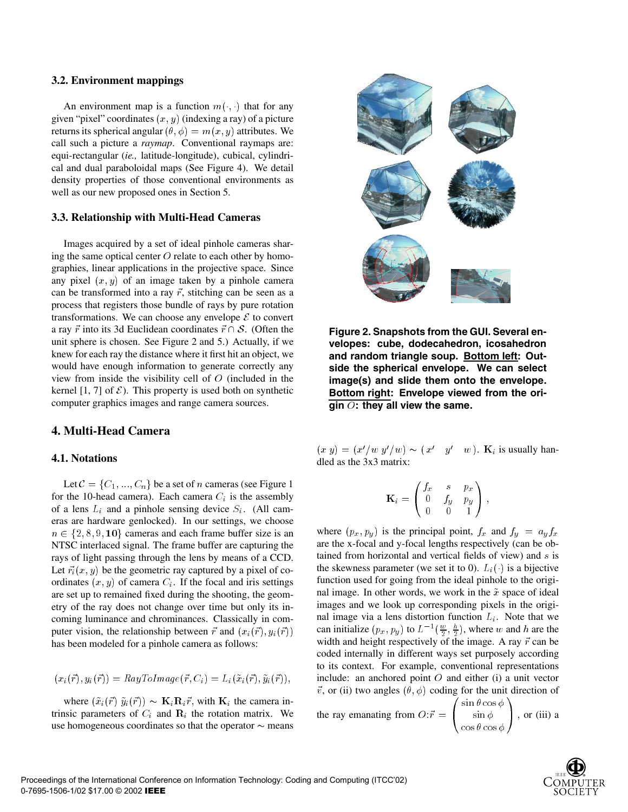#### **3.2. Environment mappings**

An environment map is a function  $m(\cdot, \cdot)$  that for any given "pixel" coordinates  $(x, y)$  (indexing a ray) of a picture returns its spherical angular  $(\theta, \phi) = m(x, y)$  attributes. We call such a picture a *raymap*. Conventional raymaps are: equi-rectangular (*ie.,* latitude-longitude), cubical, cylindrical and dual paraboloidal maps (See Figure 4). We detail density properties of those conventional environments as well as our new proposed ones in Section 5.

### **3.3. Relationship with Multi-Head Cameras**

Images acquired by a set of ideal pinhole cameras sharing the same optical center  $O$  relate to each other by homographies, linear applications in the projective space. Since any pixel  $(x, y)$  of an image taken by a pinhole camera can be transformed into a ray  $\vec{r}$ , stitching can be seen as a process that registers those bundle of rays by pure rotation transformations. We can choose any envelope  $\mathcal E$  to convert a ray  $\vec{r}$  into its 3d Euclidean coordinates  $\vec{r} \cap S$ . (Often the unit sphere is chosen. See Figure 2 and 5.) Actually, if we knew for each ray the distance where it first hit an object, we would have enough information to generate correctly any view from inside the visibility cell of  $O$  (included in the kernel [1, 7] of  $\mathcal E$ ). This property is used both on synthetic computer graphics images and range camera sources.

### **4. Multi-Head Camera**

#### **4.1. Notations**

Let  $C = \{C_1, ..., C_n\}$  be a set of n cameras (see Figure 1) for the 10-head camera). Each camera  $C_i$  is the assembly of a lens  $L_i$  and a pinhole sensing device  $S_i$ . (All cameras are hardware genlocked). In our settings, we choose  $n \in \{2, 8, 9, 10\}$  cameras and each frame buffer size is an NTSC interlaced signal. The frame buffer are capturing the rays of light passing through the lens by means of a CCD. Let  $\vec{r_i}(x, y)$  be the geometric ray captured by a pixel of coordinates  $(x, y)$  of camera  $C_i$ . If the focal and iris settings are set up to remained fixed during the shooting, the geometry of the ray does not change over time but only its incoming luminance and chrominances. Classically in computer vision, the relationship between  $\vec{r}$  and  $(x_i(\vec{r}), y_i(\vec{r}))$ has been modeled for a pinhole camera as follows:

$$
(x_i(\vec{r}), y_i(\vec{r})) = RayTolmage(\vec{r}, C_i) = L_i(\tilde{x}_i(\vec{r}), \tilde{y}_i(\vec{r})),
$$

where  $(\tilde{x}_i(\vec{r}) \tilde{y}_i(\vec{r})) \sim \mathbf{K}_i \mathbf{R}_i \vec{r}$ , with  $\mathbf{K}_i$  the camera intrinsic parameters of  $C_i$  and  $\mathbf{R}_i$  the rotation matrix. We use homogeneous coordinates so that the operator  $\sim$  means



**Figure 2. Snapshots from the GUI. Several envelopes: cube, dodecahedron, icosahedron and random triangle soup. Bottom left: Outside the spherical envelope. We can select image(s) and slide them onto the envelope. Bottom right: Envelope viewed from the origin** <sup>O</sup>**: they all view the same.**

 $(x y) = (x'/w y'/w) \sim (x' y' w)$ . **K**<sub>i</sub> is usually handled as the 3x3 matrix:

$$
\mathbf{K}_i = \begin{pmatrix} f_x & s & p_x \\ 0 & f_y & p_y \\ 0 & 0 & 1 \end{pmatrix},
$$

where  $(p_x, p_y)$  is the principal point,  $f_x$  and  $f_y = a_y f_x$ are the x-focal and y-focal lengths respectively (can be obtained from horizontal and vertical fields of view) and <sup>s</sup> is the skewness parameter (we set it to 0).  $L_i(\cdot)$  is a bijective function used for going from the ideal pinhole to the original image. In other words, we work in the  $\tilde{x}$  space of ideal images and we look up corresponding pixels in the original image via a lens distortion function  $L_i$ . Note that we can initialize  $(p_x, p_y)$  to  $L^{-1}(\frac{w}{2}, \frac{h}{2})$ , where w and h are the width and height respectively of the image. A ray  $\vec{r}$  can be coded internally in different ways set purposely according to its context. For example, conventional representations include: an anchored point  $O$  and either (i) a unit vector  $\vec{v}$ , or (ii) two angles  $(\theta, \phi)$  coding for the unit direction of

the ray emanating from 
$$
O: \vec{r} = \begin{pmatrix} \sin \theta \cos \phi \\ \sin \phi \\ \cos \theta \cos \phi \end{pmatrix}
$$
, or (iii) a

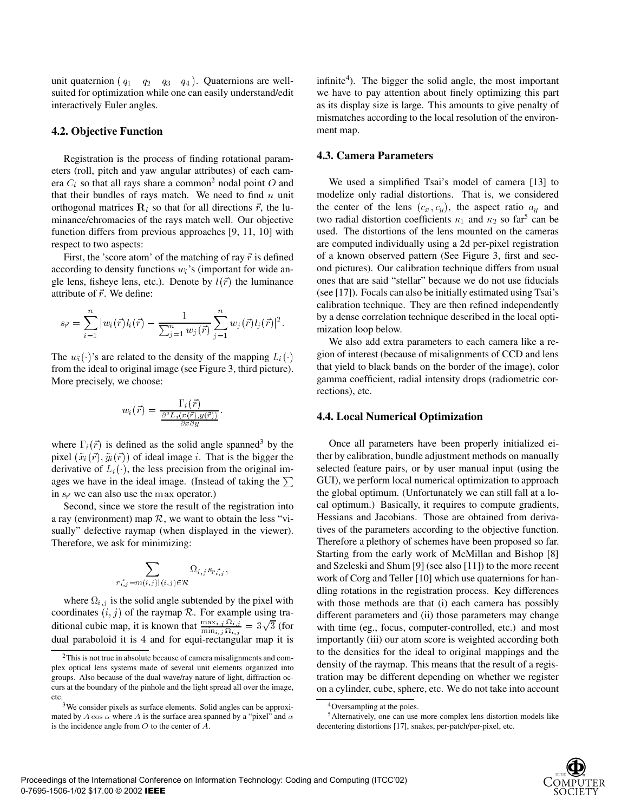unit quaternion  $(q_1 \quad q_2 \quad q_3 \quad q_4)$ . Quaternions are wellsuited for optimization while one can easily understand/edit interactively Euler angles.

#### **4.2. Objective Function**

Registration is the process of finding rotational parameters (roll, pitch and yaw angular attributes) of each camera  $C_i$  so that all rays share a common<sup>2</sup> nodal point O and that their bundles of rays match. We need to find  $n$  unit orthogonal matrices  $\mathbf{R}_i$  so that for all directions  $\vec{r}$ , the luminance/chromacies of the rays match well. Our objective function differs from previous approaches [9, 11, 10] with respect to two aspects:

First, the 'score atom' of the matching of ray  $\vec{r}$  is defined according to density functions  $w_i$ 's (important for wide angle lens, fisheye lens, etc.). Denote by  $l(\vec{r})$  the luminance attribute of  $\vec{r}$ . We define:

$$
s_{\vec{r}} = \sum_{i=1}^n |w_i(\vec{r}) l_i(\vec{r}) - \frac{1}{\sum_{j=1}^n w_j(\vec{r})} \sum_{j=1}^n w_j(\vec{r}) l_j(\vec{r})|^2.
$$

The  $w_i(\cdot)$ 's are related to the density of the mapping  $L_i(\cdot)$ from the ideal to original image (see Figure 3, third picture). More precisely, we choose:

$$
w_i(\vec{r}) = \frac{\Gamma_i(\vec{r})}{\frac{\partial^2 L_i(x(\vec{r}), y(\vec{r}))}{\partial x \partial y}}.
$$

:

where  $\Gamma_i(\vec{r})$  is defined as the solid angle spanned<sup>3</sup> by the pixel  $({\tilde{x}}_i(\vec{r}), {\tilde{y}}_i(\vec{r}))$  of ideal image i. That is the bigger the derivative of  $L_i(\cdot)$ , the less precision from the original images we have in the ideal image. (Instead of taking the  $\Sigma$ in  $s_{\vec{r}}$  we can also use the max operator.)

Second, since we store the result of the registration into a ray (environment) map  $R$ , we want to obtain the less "visually" defective raymap (when displayed in the viewer). Therefore, we ask for minimizing:

$$
\sum_{r_{i,j}^{\rightarrow} = m(i,j) | (i,j) \in \mathcal{R}} \Omega_{i,j} s_{r_{i,j}^{\rightarrow}},
$$

where  $\Omega_{i,j}$  is the solid angle subtended by the pixel with coordinates  $(i, j)$  of the raymap  $\mathcal{R}$ . For example using traditional cubic map, it is known that  $\frac{\max_{i,j} M_{i,j}}{\min_{i,j} \Omega_{i,j}} = 3\sqrt{3}$  (for dual paraboloid it is <sup>4</sup> and for equi-rectangular map it is

infinite<sup>4</sup>). The bigger the solid angle, the most important we have to pay attention about finely optimizing this part as its display size is large. This amounts to give penalty of mismatches according to the local resolution of the environment map.

#### **4.3. Camera Parameters**

We used a simplified Tsai's model of camera [13] to modelize only radial distortions. That is, we considered the center of the lens  $(c_x, c_y)$ , the aspect ratio  $a_y$  and two radial distortion coefficients  $\kappa_1$  and  $\kappa_2$  so far<sup>5</sup> can be used. The distortions of the lens mounted on the cameras are computed individually using a 2d per-pixel registration of a known observed pattern (See Figure 3, first and second pictures). Our calibration technique differs from usual ones that are said "stellar" because we do not use fiducials (see [17]). Focals can also be initially estimated using Tsai's calibration technique. They are then refined independently by a dense correlation technique described in the local optimization loop below.

We also add extra parameters to each camera like a region of interest (because of misalignments of CCD and lens that yield to black bands on the border of the image), color gamma coefficient, radial intensity drops (radiometric corrections), etc.

#### **4.4. Local Numerical Optimization**

Once all parameters have been properly initialized either by calibration, bundle adjustment methods on manually selected feature pairs, or by user manual input (using the GUI), we perform local numerical optimization to approach the global optimum. (Unfortunately we can still fall at a local optimum.) Basically, it requires to compute gradients, Hessians and Jacobians. Those are obtained from derivatives of the parameters according to the objective function. Therefore a plethory of schemes have been proposed so far. Starting from the early work of McMillan and Bishop [8] and Szeleski and Shum [9] (see also [11]) to the more recent work of Corg and Teller [10] which use quaternions for handling rotations in the registration process. Key differences with those methods are that (i) each camera has possibly different parameters and (ii) those parameters may change with time (eg., focus, computer-controlled, etc.) and most importantly (iii) our atom score is weighted according both to the densities for the ideal to original mappings and the density of the raymap. This means that the result of a registration may be different depending on whether we register on a cylinder, cube, sphere, etc. We do not take into account

<sup>5</sup>Alternatively, one can use more complex lens distortion models like decentering distortions [17], snakes, per-patch/per-pixel, etc.



<sup>&</sup>lt;sup>2</sup>This is not true in absolute because of camera misalignments and complex optical lens systems made of several unit elements organized into groups. Also because of the dual wave/ray nature of light, diffraction occurs at the boundary of the pinhole and the light spread all over the image,

etc.<br><sup>3</sup>We consider pixels as surface elements. Solid angles can be approximated by  $A \cos \alpha$  where  $A$  is the surface area spanned by a "pixel" and  $\alpha$ is the incidence angle from <sup>O</sup> to the center of <sup>A</sup>.

<sup>4</sup>Oversampling at the poles.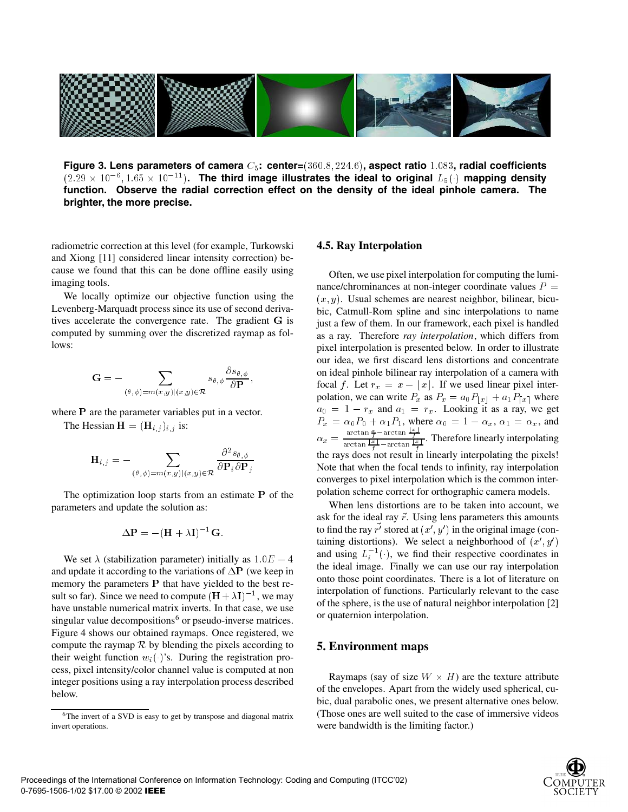

**Figure 3. Lens parameters of camera** C5**: center=**(360:8; 224:6)**, aspect ratio** 1:083**, radial coefficients**  $(2.29 \times 10^{-6}, 1.65 \times 10^{-11})$ . The third image illustrates the ideal to original  $L_5(\cdot)$  mapping density **function. Observe the radial correction effect on the density of the ideal pinhole camera. The brighter, the more precise.**

radiometric correction at this level (for example, Turkowski and Xiong [11] considered linear intensity correction) because we found that this can be done offline easily using imaging tools.

We locally optimize our objective function using the Levenberg-Marquadt process since its use of second derivatives accelerate the convergence rate. The gradient <sup>G</sup> is computed by summing over the discretized raymap as follows:

$$
\mathbf{G} = -\sum_{(\theta,\phi)=m(x,y)|(x,y)\in \mathcal{R}} s_{\theta,\phi} \frac{\partial s_{\theta,\phi}}{\partial \mathbf{P}},
$$

where P are the parameter variables put in a vector.

The Hessian  $\mathbf{H} = (\mathbf{H}_{i,j})_{i,j}$  is:

$$
\mathbf{H}_{i,j} = -\sum_{(\theta, \phi) = m(x,y) | (x,y) \in \mathcal{R}} \frac{\partial^2 s_{\theta, \phi}}{\partial \mathbf{P}_i \partial \mathbf{P}_j}
$$

The optimization loop starts from an estimate <sup>P</sup> of the parameters and update the solution as:

$$
\Delta \mathbf{P} = -(\mathbf{H} + \lambda \mathbf{I})^{-1} \mathbf{G}.
$$

We set  $\lambda$  (stabilization parameter) initially as  $1.0E - 4$ and update it according to the variations of  $\Delta P$  (we keep in memory the parameters <sup>P</sup> that have yielded to the best result so far). Since we need to compute  $(H + \lambda I)^{-1}$ , we may have unstable numerical matrix inverts. In that case, we use singular value decompositions $<sup>6</sup>$  or pseudo-inverse matrices.</sup> Figure 4 shows our obtained raymaps. Once registered, we compute the raymap  $R$  by blending the pixels according to their weight function  $w_i()$ 's. During the registration process, pixel intensity/color channel value is computed at non integer positions using a ray interpolation process described below.

### **4.5. Ray Interpolation**

Often, we use pixel interpolation for computing the luminance/chrominances at non-integer coordinate values  $P =$  $(x, y)$ . Usual schemes are nearest neighbor, bilinear, bicubic, Catmull-Rom spline and sinc interpolations to name just a few of them. In our framework, each pixel is handled as a ray. Therefore *ray interpolation*, which differs from pixel interpolation is presented below. In order to illustrate our idea, we first discard lens distortions and concentrate on ideal pinhole bilinear ray interpolation of a camera with focal f. Let  $r_x = x - \lfloor x \rfloor$ . If we used linear pixel interpolation, we can write  $P_x$  as  $P_x = a_0 P_{\lfloor x \rfloor} + a_1 P_{\lfloor x \rfloor}$  where  $a_0 = 1 - r_x$  and  $a_1 = r_x$ . Looking it as a ray, we get  $P_x = \alpha_0 P_0 + \alpha_1 P_1$ , where  $\alpha_0 = 1 - \alpha_x$ ,  $\alpha_1 = \alpha_x$ , and  $\alpha_x = \frac{\arctan \frac{x}{f} - \arctan \frac{x}{f}}{\arctan \frac{x}{f} - \arctan \frac{x}{f}}$ . Therefore linearly interpolating the rays does not result in linearly interpolating the pixels! Note that when the focal tends to infinity, ray interpolation converges to pixel interpolation which is the common interpolation scheme correct for orthographic camera models.

When lens distortions are to be taken into account, we ask for the ideal ray  $\vec{r}$ . Using lens parameters this amounts to find the ray r' stored at  $(x', y')$  in the original image (containing distortions). We select a neighborhood of  $(x', y')$ and using  $L_i^{-1}(\cdot)$ , we find their respective coordinates in the ideal image. Finally we can use our ray interpolation onto those point coordinates. There is a lot of literature on interpolation of functions. Particularly relevant to the case of the sphere, is the use of natural neighbor interpolation [2] or quaternion interpolation.

#### **5. Environment maps**

Raymaps (say of size  $W \times H$ ) are the texture attribute of the envelopes. Apart from the widely used spherical, cubic, dual parabolic ones, we present alternative ones below. (Those ones are well suited to the case of immersive videos were bandwidth is the limiting factor.)

<sup>&</sup>lt;sup>6</sup>The invert of a SVD is easy to get by transpose and diagonal matrix invert operations.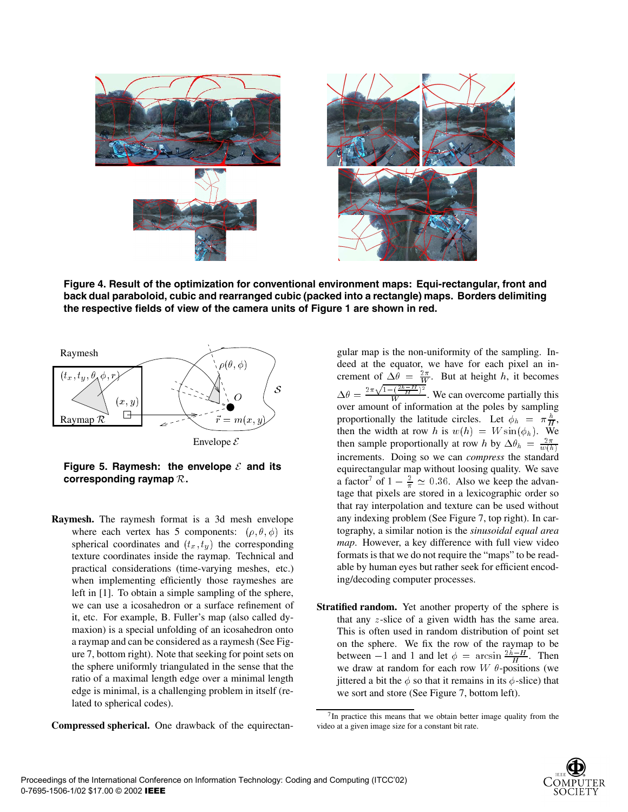

**Figure 4. Result of the optimization for conventional environment maps: Equi-rectangular, front and back dual paraboloid, cubic and rearranged cubic (packed into a rectangle) maps. Borders delimiting the respective fields of view of the camera units of Figure 1 are shown in red.**



Figure 5. Raymesh: the envelope  $\mathcal E$  and its **corresponding raymap** <sup>R</sup>**.**

**Raymesh.** The raymesh format is a 3d mesh envelope where each vertex has 5 components:  $(\rho, \theta, \phi)$  its spherical coordinates and  $(t_x, t_y)$  the corresponding texture coordinates inside the raymap. Technical and practical considerations (time-varying meshes, etc.) when implementing efficiently those raymeshes are left in [1]. To obtain a simple sampling of the sphere, we can use a icosahedron or a surface refinement of it, etc. For example, B. Fuller's map (also called dymaxion) is a special unfolding of an icosahedron onto a raymap and can be considered as a raymesh (See Figure 7, bottom right). Note that seeking for point sets on the sphere uniformly triangulated in the sense that the ratio of a maximal length edge over a minimal length edge is minimal, is a challenging problem in itself (related to spherical codes).

gular map is the non-uniformity of the sampling. Indeed at the equator, we have for each pixel an increment of  $\Delta \theta = \frac{2\pi}{W}$ . But at height h, it becomes  $\Delta \theta = \frac{2\pi \sqrt{1-(\frac{2h-H}{H})^2}}{W}$ . We can overcome partially this over amount of information at the poles by sampling proportionally the latitude circles. Let  $\phi_h = \pi \frac{h}{H}$ , then the width at row h is  $w(h) = W \sin(\phi_h)$ . We then sample proportionally at row h by  $\Delta \theta_h = \frac{2\pi}{w(h)}$ increments. Doing so we can *compress* the standard equirectangular map without loosing quality. We save a factor<sup>7</sup> of  $1 - \frac{2}{\pi} \simeq 0.36$ . Also we keep the advantage that pixels are stored in a lexicographic order so that ray interpolation and texture can be used without any indexing problem (See Figure 7, top right). In cartography, a similar notion is the *sinusoidal equal area map*. However, a key difference with full view video formats is that we do not require the "maps" to be readable by human eyes but rather seek for efficient encoding/decoding computer processes.

**Stratified random.** Yet another property of the sphere is that any <sup>z</sup>-slice of a given width has the same area. This is often used in random distribution of point set on the sphere. We fix the row of the raymap to be between  $-1$  and 1 and let  $\phi = \arcsin \frac{2h-H}{H}$ . Then we draw at random for each row W  $\theta$ -positions (we jittered a bit the  $\phi$  so that it remains in its  $\phi$ -slice) that we sort and store (See Figure 7, bottom left).

 $<sup>7</sup>$ In practice this means that we obtain better image quality from the</sup> video at a given image size for a constant bit rate.



**Compressed spherical.** One drawback of the equirectan-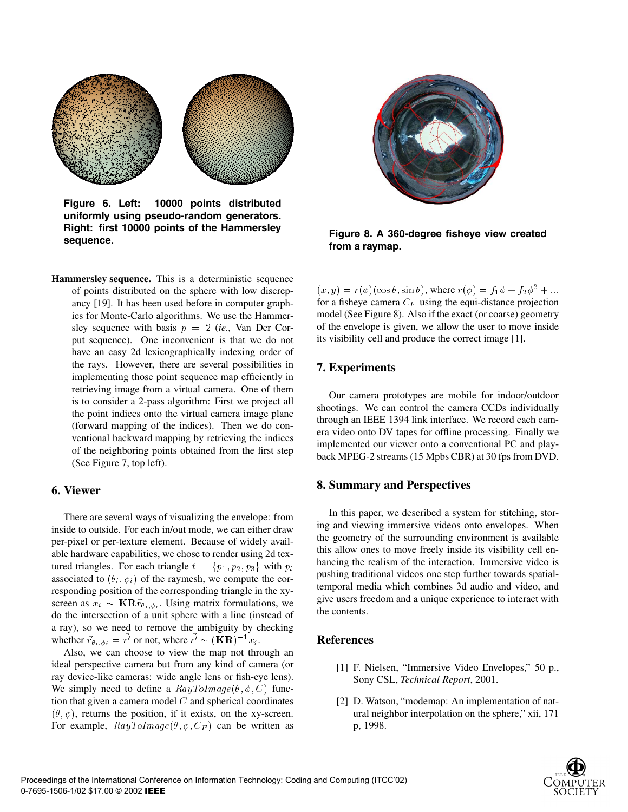

**Figure 6. Left: 10000 points distributed uniformly using pseudo-random generators. Right: first 10000 points of the Hammersley sequence.**

**Hammersley sequence.** This is a deterministic sequence of points distributed on the sphere with low discrepancy [19]. It has been used before in computer graphics for Monte-Carlo algorithms. We use the Hammersley sequence with basis  $p = 2$  (*ie.*, Van Der Corput sequence). One inconvenient is that we do not have an easy 2d lexicographically indexing order of the rays. However, there are several possibilities in implementing those point sequence map efficiently in retrieving image from a virtual camera. One of them is to consider a 2-pass algorithm: First we project all the point indices onto the virtual camera image plane (forward mapping of the indices). Then we do conventional backward mapping by retrieving the indices of the neighboring points obtained from the first step (See Figure 7, top left).

## **6. Viewer**

There are several ways of visualizing the envelope: from inside to outside. For each in/out mode, we can either draw per-pixel or per-texture element. Because of widely available hardware capabilities, we chose to render using 2d textured triangles. For each triangle  $t = \{p_1, p_2, p_3\}$  with  $p_i$ associated to  $(\theta_i, \phi_i)$  of the raymesh, we compute the corresponding position of the corresponding triangle in the xyscreen as  $x_i \sim \mathbf{K} \mathbf{R} \vec{r}_{\theta_i, \phi_i}$ . Using matrix formulations, we do the intersection of a unit sphere with a line (instead of a ray), so we need to remove the ambiguity by checking whether  $\vec{r}_{\theta_i, \phi_i} = r'$  or not, where  $r' \sim (KR)^{-1}x_i$ .

Also, we can choose to view the map not through an ideal perspective camera but from any kind of camera (or ray device-like cameras: wide angle lens or fish-eye lens). We simply need to define a  $RayToImage(\theta, \phi, C)$  function that given a camera model  $C$  and spherical coordinates  $(\theta, \phi)$ , returns the position, if it exists, on the xy-screen. For example,  $RayTolmage(\theta, \phi, C_F)$  can be written as



**Figure 8. A 360-degree fisheye view created from a raymap.**

 $(x, y) = r(\phi)(\cos \theta, \sin \theta)$ , where  $r(\phi) = f_1 \phi + f_2 \phi^2 + ...$ for a fisheye camera  $C_F$  using the equi-distance projection model (See Figure 8). Also if the exact (or coarse) geometry of the envelope is given, we allow the user to move inside its visibility cell and produce the correct image [1].

#### **7. Experiments**

Our camera prototypes are mobile for indoor/outdoor shootings. We can control the camera CCDs individually through an IEEE 1394 link interface. We record each camera video onto DV tapes for offline processing. Finally we implemented our viewer onto a conventional PC and playback MPEG-2 streams (15 Mpbs CBR) at 30 fps from DVD.

### **8. Summary and Perspectives**

In this paper, we described a system for stitching, storing and viewing immersive videos onto envelopes. When the geometry of the surrounding environment is available this allow ones to move freely inside its visibility cell enhancing the realism of the interaction. Immersive video is pushing traditional videos one step further towards spatialtemporal media which combines 3d audio and video, and give users freedom and a unique experience to interact with the contents.

### **References**

- [1] F. Nielsen, "Immersive Video Envelopes," 50 p., Sony CSL, *Technical Report*, 2001.
- [2] D. Watson, "modemap: An implementation of natural neighbor interpolation on the sphere," xii, 171 p, 1998.